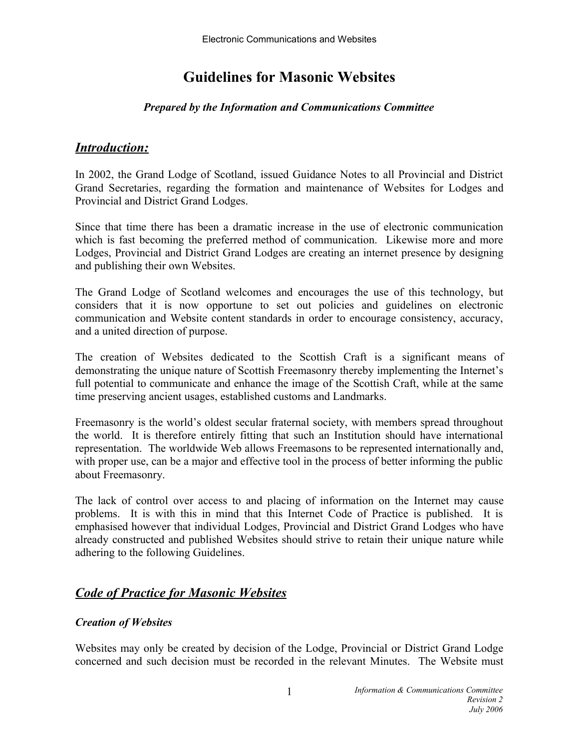# **Guidelines for Masonic Websites**

### *Prepared by the Information and Communications Committee*

# *Introduction:*

In 2002, the Grand Lodge of Scotland, issued Guidance Notes to all Provincial and District Grand Secretaries, regarding the formation and maintenance of Websites for Lodges and Provincial and District Grand Lodges.

Since that time there has been a dramatic increase in the use of electronic communication which is fast becoming the preferred method of communication. Likewise more and more Lodges, Provincial and District Grand Lodges are creating an internet presence by designing and publishing their own Websites.

The Grand Lodge of Scotland welcomes and encourages the use of this technology, but considers that it is now opportune to set out policies and guidelines on electronic communication and Website content standards in order to encourage consistency, accuracy, and a united direction of purpose.

The creation of Websites dedicated to the Scottish Craft is a significant means of demonstrating the unique nature of Scottish Freemasonry thereby implementing the Internet's full potential to communicate and enhance the image of the Scottish Craft, while at the same time preserving ancient usages, established customs and Landmarks.

Freemasonry is the world's oldest secular fraternal society, with members spread throughout the world. It is therefore entirely fitting that such an Institution should have international representation. The worldwide Web allows Freemasons to be represented internationally and, with proper use, can be a major and effective tool in the process of better informing the public about Freemasonry.

The lack of control over access to and placing of information on the Internet may cause problems. It is with this in mind that this Internet Code of Practice is published. It is emphasised however that individual Lodges, Provincial and District Grand Lodges who have already constructed and published Websites should strive to retain their unique nature while adhering to the following Guidelines.

# *Code of Practice for Masonic Websites*

### *Creation of Websites*

Websites may only be created by decision of the Lodge, Provincial or District Grand Lodge concerned and such decision must be recorded in the relevant Minutes. The Website must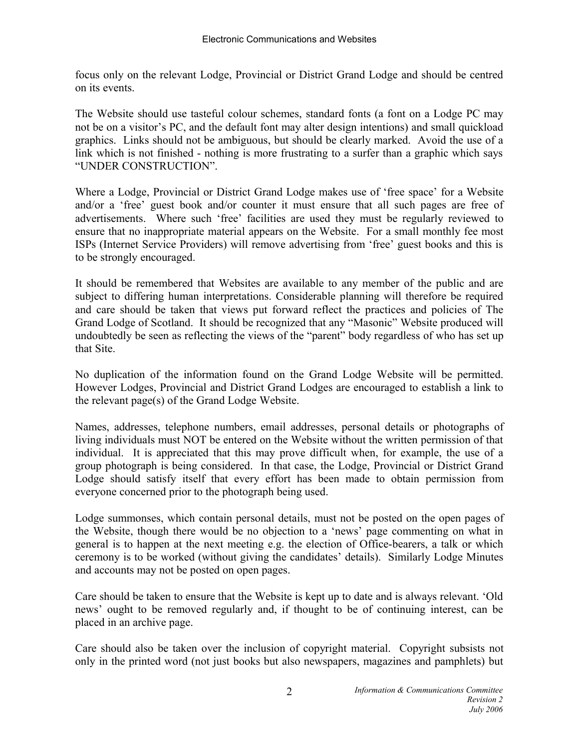focus only on the relevant Lodge, Provincial or District Grand Lodge and should be centred on its events.

The Website should use tasteful colour schemes, standard fonts (a font on a Lodge PC may not be on a visitor's PC, and the default font may alter design intentions) and small quickload graphics. Links should not be ambiguous, but should be clearly marked. Avoid the use of a link which is not finished - nothing is more frustrating to a surfer than a graphic which says "UNDER CONSTRUCTION".

Where a Lodge, Provincial or District Grand Lodge makes use of 'free space' for a Website and/or a 'free' guest book and/or counter it must ensure that all such pages are free of advertisements. Where such 'free' facilities are used they must be regularly reviewed to ensure that no inappropriate material appears on the Website. For a small monthly fee most ISPs (Internet Service Providers) will remove advertising from 'free' guest books and this is to be strongly encouraged.

It should be remembered that Websites are available to any member of the public and are subject to differing human interpretations. Considerable planning will therefore be required and care should be taken that views put forward reflect the practices and policies of The Grand Lodge of Scotland. It should be recognized that any "Masonic" Website produced will undoubtedly be seen as reflecting the views of the "parent" body regardless of who has set up that Site.

No duplication of the information found on the Grand Lodge Website will be permitted. However Lodges, Provincial and District Grand Lodges are encouraged to establish a link to the relevant page(s) of the Grand Lodge Website.

Names, addresses, telephone numbers, email addresses, personal details or photographs of living individuals must NOT be entered on the Website without the written permission of that individual. It is appreciated that this may prove difficult when, for example, the use of a group photograph is being considered. In that case, the Lodge, Provincial or District Grand Lodge should satisfy itself that every effort has been made to obtain permission from everyone concerned prior to the photograph being used.

Lodge summonses, which contain personal details, must not be posted on the open pages of the Website, though there would be no objection to a 'news' page commenting on what in general is to happen at the next meeting e.g. the election of Office-bearers, a talk or which ceremony is to be worked (without giving the candidates' details). Similarly Lodge Minutes and accounts may not be posted on open pages.

Care should be taken to ensure that the Website is kept up to date and is always relevant. 'Old news' ought to be removed regularly and, if thought to be of continuing interest, can be placed in an archive page.

Care should also be taken over the inclusion of copyright material. Copyright subsists not only in the printed word (not just books but also newspapers, magazines and pamphlets) but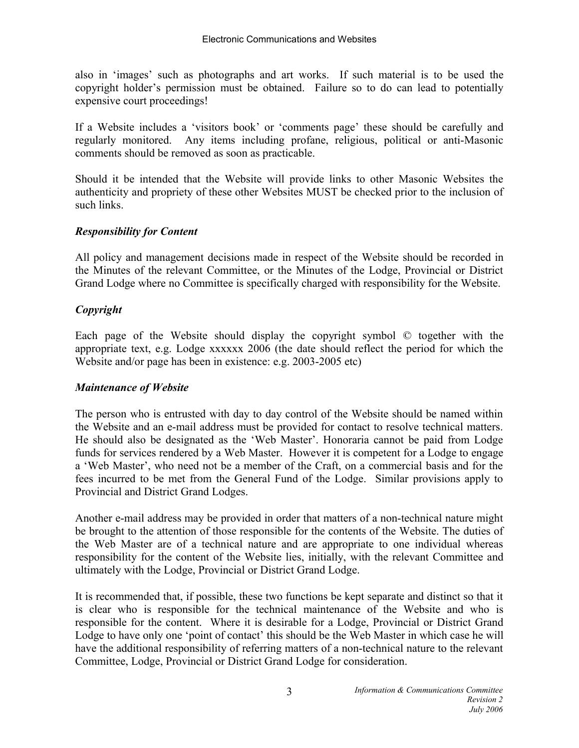also in 'images' such as photographs and art works. If such material is to be used the copyright holder's permission must be obtained. Failure so to do can lead to potentially expensive court proceedings!

If a Website includes a 'visitors book' or 'comments page' these should be carefully and regularly monitored. Any items including profane, religious, political or anti-Masonic comments should be removed as soon as practicable.

Should it be intended that the Website will provide links to other Masonic Websites the authenticity and propriety of these other Websites MUST be checked prior to the inclusion of such links.

### *Responsibility for Content*

All policy and management decisions made in respect of the Website should be recorded in the Minutes of the relevant Committee, or the Minutes of the Lodge, Provincial or District Grand Lodge where no Committee is specifically charged with responsibility for the Website.

### *Copyright*

Each page of the Website should display the copyright symbol © together with the appropriate text, e.g. Lodge xxxxxx 2006 (the date should reflect the period for which the Website and/or page has been in existence: e.g. 2003-2005 etc)

### *Maintenance of Website*

The person who is entrusted with day to day control of the Website should be named within the Website and an e-mail address must be provided for contact to resolve technical matters. He should also be designated as the 'Web Master'. Honoraria cannot be paid from Lodge funds for services rendered by a Web Master. However it is competent for a Lodge to engage a 'Web Master', who need not be a member of the Craft, on a commercial basis and for the fees incurred to be met from the General Fund of the Lodge. Similar provisions apply to Provincial and District Grand Lodges.

Another e-mail address may be provided in order that matters of a non-technical nature might be brought to the attention of those responsible for the contents of the Website. The duties of the Web Master are of a technical nature and are appropriate to one individual whereas responsibility for the content of the Website lies, initially, with the relevant Committee and ultimately with the Lodge, Provincial or District Grand Lodge.

It is recommended that, if possible, these two functions be kept separate and distinct so that it is clear who is responsible for the technical maintenance of the Website and who is responsible for the content. Where it is desirable for a Lodge, Provincial or District Grand Lodge to have only one 'point of contact' this should be the Web Master in which case he will have the additional responsibility of referring matters of a non-technical nature to the relevant Committee, Lodge, Provincial or District Grand Lodge for consideration.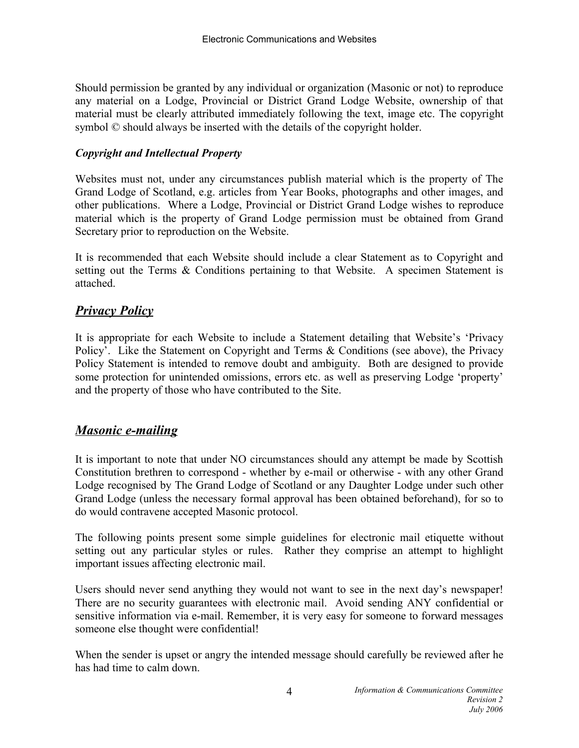Should permission be granted by any individual or organization (Masonic or not) to reproduce any material on a Lodge, Provincial or District Grand Lodge Website, ownership of that material must be clearly attributed immediately following the text, image etc. The copyright symbol © should always be inserted with the details of the copyright holder.

### *Copyright and Intellectual Property*

Websites must not, under any circumstances publish material which is the property of The Grand Lodge of Scotland, e.g. articles from Year Books, photographs and other images, and other publications. Where a Lodge, Provincial or District Grand Lodge wishes to reproduce material which is the property of Grand Lodge permission must be obtained from Grand Secretary prior to reproduction on the Website.

It is recommended that each Website should include a clear Statement as to Copyright and setting out the Terms & Conditions pertaining to that Website. A specimen Statement is attached.

# *Privacy Policy*

It is appropriate for each Website to include a Statement detailing that Website's 'Privacy Policy'. Like the Statement on Copyright and Terms & Conditions (see above), the Privacy Policy Statement is intended to remove doubt and ambiguity. Both are designed to provide some protection for unintended omissions, errors etc. as well as preserving Lodge 'property' and the property of those who have contributed to the Site.

# *Masonic e-mailing*

It is important to note that under NO circumstances should any attempt be made by Scottish Constitution brethren to correspond - whether by e-mail or otherwise - with any other Grand Lodge recognised by The Grand Lodge of Scotland or any Daughter Lodge under such other Grand Lodge (unless the necessary formal approval has been obtained beforehand), for so to do would contravene accepted Masonic protocol.

The following points present some simple guidelines for electronic mail etiquette without setting out any particular styles or rules. Rather they comprise an attempt to highlight important issues affecting electronic mail.

Users should never send anything they would not want to see in the next day's newspaper! There are no security guarantees with electronic mail. Avoid sending ANY confidential or sensitive information via e-mail. Remember, it is very easy for someone to forward messages someone else thought were confidential!

When the sender is upset or angry the intended message should carefully be reviewed after he has had time to calm down.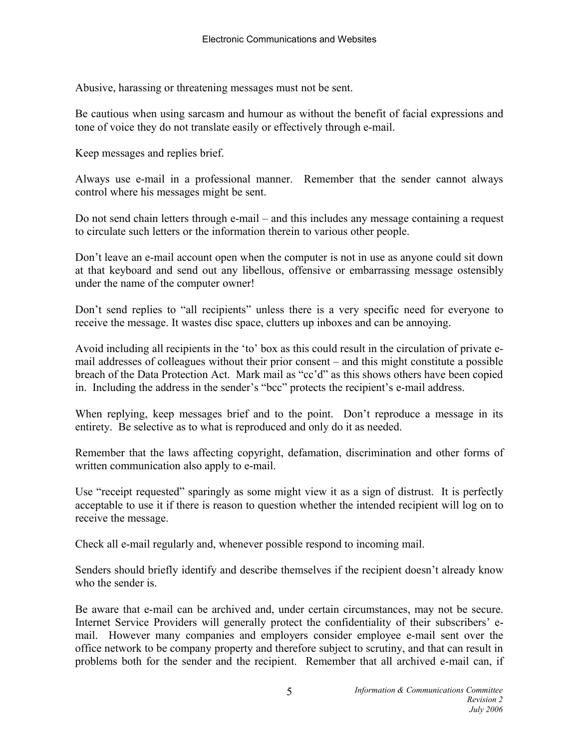Abusive, harassing or threatening messages must not be sent.

Be cautious when using sarcasm and humour as without the benefit of facial expressions and tone of voice they do not translate easily or effectively through e-mail.

Keep messages and replies brief.

Always use e-mail in a professional manner. Remember that the sender cannot always control where his messages might be sent.

Do not send chain letters through e-mail – and this includes any message containing a request to circulate such letters or the information therein to various other people.

Don't leave an e-mail account open when the computer is not in use as anyone could sit down at that keyboard and send out any libellous, offensive or embarrassing message ostensibly under the name of the computer owner!

Don't send replies to "all recipients" unless there is a very specific need for everyone to receive the message. It wastes disc space, clutters up inboxes and can be annoying.

Avoid including all recipients in the 'to' box as this could result in the circulation of private email addresses of colleagues without their prior consent – and this might constitute a possible breach of the Data Protection Act. Mark mail as "cc'd" as this shows others have been copied in. Including the address in the sender's "bcc" protects the recipient's e-mail address.

When replying, keep messages brief and to the point. Don't reproduce a message in its entirety. Be selective as to what is reproduced and only do it as needed.

Remember that the laws affecting copyright, defamation, discrimination and other forms of written communication also apply to e-mail.

Use "receipt requested" sparingly as some might view it as a sign of distrust. It is perfectly acceptable to use it if there is reason to question whether the intended recipient will log on to receive the message.

Check all e-mail regularly and, whenever possible respond to incoming mail.

Senders should briefly identify and describe themselves if the recipient doesn't already know who the sender is.

Be aware that e-mail can be archived and, under certain circumstances, may not be secure. Internet Service Providers will generally protect the confidentiality of their subscribers' email. However many companies and employers consider employee e-mail sent over the office network to be company property and therefore subject to scrutiny, and that can result in problems both for the sender and the recipient. Remember that all archived e-mail can, if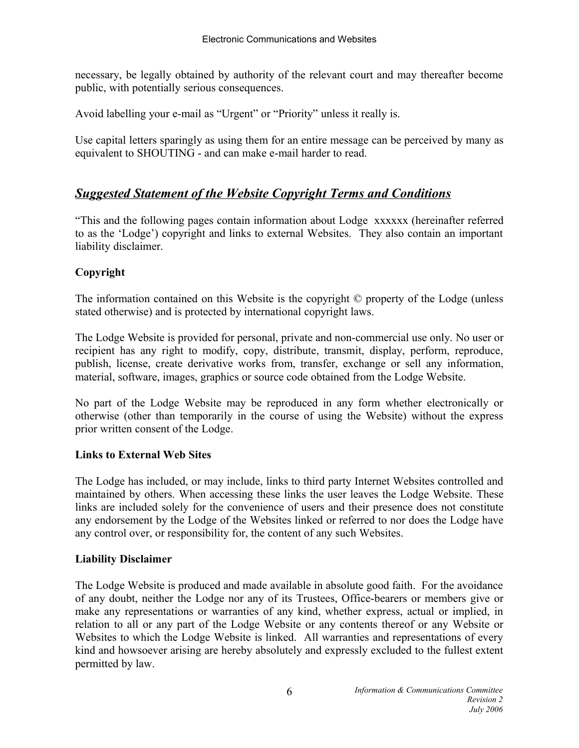necessary, be legally obtained by authority of the relevant court and may thereafter become public, with potentially serious consequences.

Avoid labelling your e-mail as "Urgent" or "Priority" unless it really is.

Use capital letters sparingly as using them for an entire message can be perceived by many as equivalent to SHOUTING - and can make e-mail harder to read.

# *Suggested Statement of the Website Copyright Terms and Conditions*

"This and the following pages contain information about Lodge xxxxxx (hereinafter referred to as the 'Lodge') copyright and links to external Websites. They also contain an important liability disclaimer.

### **Copyright**

The information contained on this Website is the copyright © property of the Lodge (unless stated otherwise) and is protected by international copyright laws.

The Lodge Website is provided for personal, private and non-commercial use only. No user or recipient has any right to modify, copy, distribute, transmit, display, perform, reproduce, publish, license, create derivative works from, transfer, exchange or sell any information, material, software, images, graphics or source code obtained from the Lodge Website.

No part of the Lodge Website may be reproduced in any form whether electronically or otherwise (other than temporarily in the course of using the Website) without the express prior written consent of the Lodge.

### **Links to External Web Sites**

The Lodge has included, or may include, links to third party Internet Websites controlled and maintained by others. When accessing these links the user leaves the Lodge Website. These links are included solely for the convenience of users and their presence does not constitute any endorsement by the Lodge of the Websites linked or referred to nor does the Lodge have any control over, or responsibility for, the content of any such Websites.

### **Liability Disclaimer**

The Lodge Website is produced and made available in absolute good faith. For the avoidance of any doubt, neither the Lodge nor any of its Trustees, Office-bearers or members give or make any representations or warranties of any kind, whether express, actual or implied, in relation to all or any part of the Lodge Website or any contents thereof or any Website or Websites to which the Lodge Website is linked. All warranties and representations of every kind and howsoever arising are hereby absolutely and expressly excluded to the fullest extent permitted by law.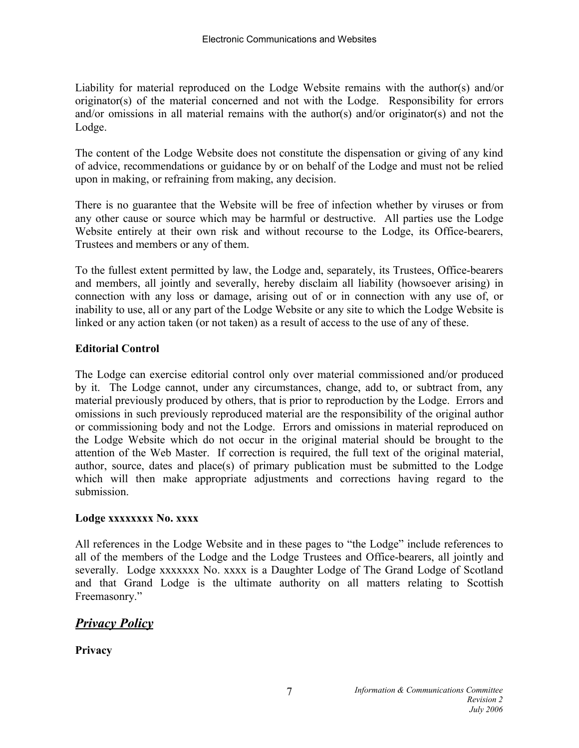Liability for material reproduced on the Lodge Website remains with the author(s) and/or originator(s) of the material concerned and not with the Lodge. Responsibility for errors and/or omissions in all material remains with the author(s) and/or originator(s) and not the Lodge.

The content of the Lodge Website does not constitute the dispensation or giving of any kind of advice, recommendations or guidance by or on behalf of the Lodge and must not be relied upon in making, or refraining from making, any decision.

There is no guarantee that the Website will be free of infection whether by viruses or from any other cause or source which may be harmful or destructive. All parties use the Lodge Website entirely at their own risk and without recourse to the Lodge, its Office-bearers, Trustees and members or any of them.

To the fullest extent permitted by law, the Lodge and, separately, its Trustees, Office-bearers and members, all jointly and severally, hereby disclaim all liability (howsoever arising) in connection with any loss or damage, arising out of or in connection with any use of, or inability to use, all or any part of the Lodge Website or any site to which the Lodge Website is linked or any action taken (or not taken) as a result of access to the use of any of these.

### **Editorial Control**

The Lodge can exercise editorial control only over material commissioned and/or produced by it. The Lodge cannot, under any circumstances, change, add to, or subtract from, any material previously produced by others, that is prior to reproduction by the Lodge. Errors and omissions in such previously reproduced material are the responsibility of the original author or commissioning body and not the Lodge. Errors and omissions in material reproduced on the Lodge Website which do not occur in the original material should be brought to the attention of the Web Master. If correction is required, the full text of the original material, author, source, dates and place(s) of primary publication must be submitted to the Lodge which will then make appropriate adjustments and corrections having regard to the submission.

### **Lodge xxxxxxxx No. xxxx**

All references in the Lodge Website and in these pages to "the Lodge" include references to all of the members of the Lodge and the Lodge Trustees and Office-bearers, all jointly and severally. Lodge xxxxxxx No. xxxx is a Daughter Lodge of The Grand Lodge of Scotland and that Grand Lodge is the ultimate authority on all matters relating to Scottish Freemasonry."

# *Privacy Policy*

**Privacy**